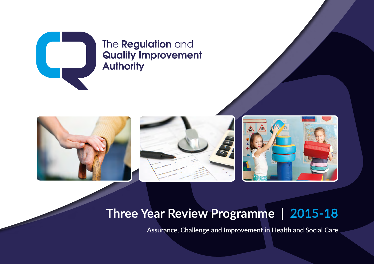### The **Regulation** and **Quality Improvement Authority**

Assurance, Challenge and Improvement in Health and Social Care | **RQIA Three Year Review Programme** | 2015-18







## **Three Year Review Programme | 2015-18**

**Assurance, Challenge and Improvement in Health and Social Care**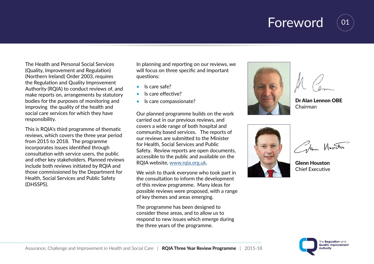

01

The Health and Personal Social Services (Quality, Improvement and Regulation) (Northern Ireland) Order 2003, requires the Regulation and Quality Improvement Authority (RQIA) to conduct reviews of, and make reports on, arrangements by statutory bodies for the purposes of monitoring and improving the quality of the health and social care services for which they have responsibility.

This is RQIA's third programme of thematic reviews, which covers the three year period from 2015 to 2018. The programme incorporates issues identified through consultation with service users, the public and other key stakeholders. Planned reviews include both reviews initiated by RQIA and those commissioned by the Department for Health, Social Services and Public Safety (DHSSPS).

In planning and reporting on our reviews, we will focus on three specific and important questions:

- Is care safe?
- Is care effective?
- Is care compassionate?

Our planned programme builds on the work carried out in our previous reviews, and covers a wide range of both hospital and community based services. The reports of our reviews are submitted to the Minister for Health, Social Services and Public Safety. Review reports are open documents, accessible to the public and available on the RQIA website, [www.rqia.org.uk](http://www.rqia.org.uk).

We wish to thank everyone who took part in the consultation to inform the development of this review programme. Many ideas for possible reviews were proposed, with a range of key themes and areas emerging.

The programme has been designed to consider these areas, and to allow us to respond to new issues which emerge during the three years of the programme.



Dr Alan Lennon OBE Chairman



Kem Howston

Glenn Houston Chief Executive

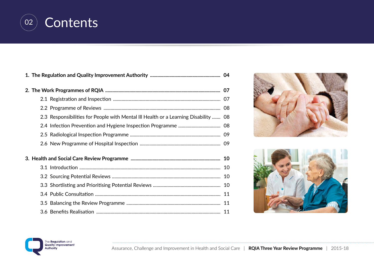

| 2.3 Responsibilities for People with Mental III Health or a Learning Disability  08 |  |
|-------------------------------------------------------------------------------------|--|
|                                                                                     |  |
|                                                                                     |  |
|                                                                                     |  |
|                                                                                     |  |
|                                                                                     |  |
|                                                                                     |  |
|                                                                                     |  |
|                                                                                     |  |
|                                                                                     |  |
|                                                                                     |  |





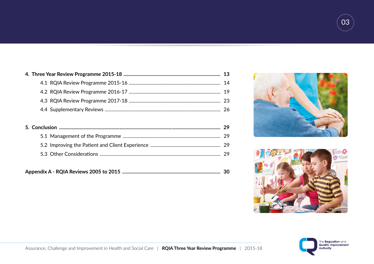





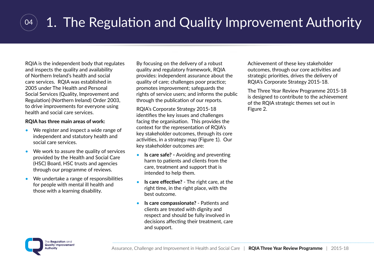### 04 1. The Regulation and Quality Improvement Authority

RQIA is the independent body that regulates and inspects the quality and availability of Northern Ireland's health and social care services. RQIA was established in 2005 under The Health and Personal Social Services (Quality, Improvement and Regulation) (Northern Ireland) Order 2003, to drive improvements for everyone using health and social care services.

#### **RQIA has three main areas of work:**

- We register and inspect a wide range of independent and statutory health and social care services.
- We work to assure the quality of services provided by the Health and Social Care (HSC) Board, HSC trusts and agencies through our programme of reviews.
- We undertake a range of responsibilities for people with mental ill health and those with a learning disability.

By focusing on the delivery of a robust quality and regulatory framework, RQIA provides: independent assurance about the quality of care; challenges poor practice; promotes improvement; safeguards the rights of service users; and informs the public through the publication of our reports.

RQIA's Corporate Strategy 2015-18 identifies the key issues and challenges facing the organisation. This provides the context for the representation of RQIA's key stakeholder outcomes, through its core activities, in a strategy map (Figure 1). Our key stakeholder outcomes are:

- **Is care safe?** Avoiding and preventing harm to patients and clients from the care, treatment and support that is intended to help them.
- **Is care effective?**  The right care, at the right time, in the right place, with the best outcome.
- **Is care compassionate?**  Patients and clients are treated with dignity and respect and should be fully involved in decisions affecting their treatment, care and support.

Achievement of these key stakeholder outcomes, through our core activities and strategic priorities, drives the delivery of RQIA's Corporate Strategy 2015-18.

The Three Year Review Programme 2015-18 is designed to contribute to the achievement of the RQIA strategic themes set out in Figure 2.

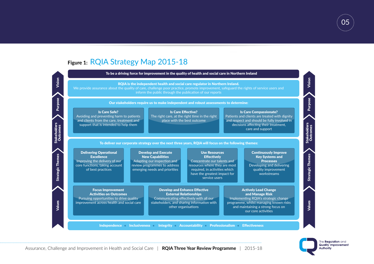### **Figure 1:** RQIA Strategy Map 2015-18





05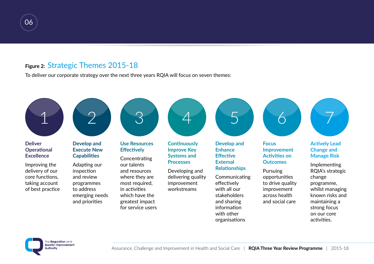

### **Figure 2:** Strategic Themes 2015-18

To deliver our corporate strategy over the next three years RQIA will focus on seven themes:



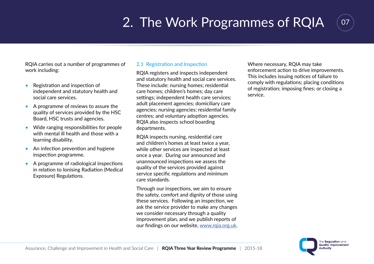# 2. The Work Programmes of RQIA



RQIA carries out a number of programmes of work including:

- Registration and inspection of independent and statutory health and social care services.
- A programme of reviews to assure the quality of services provided by the HSC Board, HSC trusts and agencies.
- Wide ranging responsibilities for people with mental ill health and those with a learning disability.
- An infection prevention and hygiene inspection programme.
- A programme of radiological inspections in relation to Ionising Radiation (Medical Exposure) Regulations.

#### 2.1 Registration and Inspection

RQIA registers and inspects independent and statutory health and social care services. These include: nursing homes; residential care homes; children's homes; day care settings; independent health care services; adult placement agencies; domiciliary care agencies; nursing agencies; residential family centres; and voluntary adoption agencies. RQIA also inspects school boarding departments.

RQIA inspects nursing, residential care and children's homes at least twice a year, while other services are inspected at least once a year. During our announced and unannounced inspections we assess the quality of the services provided against service specific regulations and minimum care standards.

Through our inspections, we aim to ensure the safety, comfort and dignity of those using these services. Following an inspection, we ask the service provider to make any changes we consider necessary through a quality improvement plan, and we publish reports of our findings on our website, [www.rqia.org.uk](http://www.rqia.org.uk). Where necessary, RQIA may take enforcement action to drive improvements. This includes issuing notices of failure to comply with regulations; placing conditions of registration; imposing fines; or closing a service.

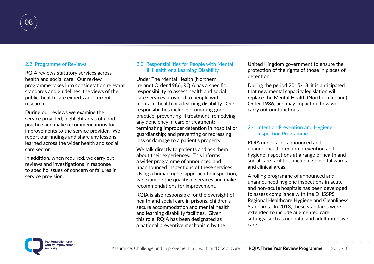

#### 2.2 Programme of Reviews

RQIA reviews statutory services across health and social care. Our review programme takes into consideration relevant standards and guidelines, the views of the public, health care experts and current research.

During our reviews we examine the service provided, highlight areas of good practice and make recommendations for improvements to the service provider. We report our findings and share any lessons learned across the wider health and social care sector.

In addition, when required, we carry out reviews and investigations in response to specific issues of concern or failures in service provision.

#### 2.3 Responsibilities for People with Mental Ill Health or a Learning Disability

Under The Mental Health (Northern Ireland) Order 1986, RQIA has a specific responsibility to assess health and social care services provided to people with mental ill health or a learning disability. Our responsibilities include: promoting good practice; preventing ill treatment; remedying any deficiency in care or treatment; terminating improper detention in hospital or guardianship; and preventing or redressing loss or damage to a patient's property.

We talk directly to patients and ask them about their experiences. This informs a wider programme of announced and unannounced inspections of these services. Using a human rights approach to inspection, we examine the quality of services and make recommendations for improvement.

RQIA is also responsible for the oversight of health and social care in prisons, children's secure accommodation and mental health and learning disability facilities. Given this role, RQIA has been designated as a national preventive mechanism by the

United Kingdom government to ensure the protection of the rights of those in places of detention.

During the period 2015-18, it is anticipated that new mental capacity legislation will replace the Mental Health (Northern Ireland) Order 1986, and may impact on how we carry out our functions.

#### 2.4 Infection Prevention and Hygiene Inspection Programme

RQIA undertakes announced and unannounced infection prevention and hygiene inspections at a range of health and social care facilities, including hospital wards and clinical areas.

A rolling programme of announced and unannounced hygiene inspections in acute and non-acute hospitals has been developed to assess compliance with the DHSSPS Regional Healthcare Hygiene and Cleanliness Standards. In 2013, these standards were extended to include augmented care settings, such as neonatal and adult intensive care.

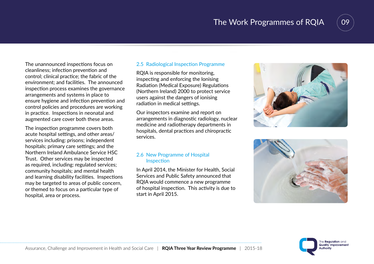### The Work Programmes of RQIA



The unannounced inspections focus on cleanliness; infection prevention and control; clinical practice; the fabric of the environment; and facilities. The announced inspection process examines the governance arrangements and systems in place to ensure hygiene and infection prevention and control policies and procedures are working in practice. Inspections in neonatal and augmented care cover both these areas.

The inspection programme covers both acute hospital settings, and other areas/ services including: prisons; independent hospitals; primary care settings; and the Northern Ireland Ambulance Service HSC Trust. Other services may be inspected as required, including: regulated services; community hospitals; and mental health and learning disability facilities. Inspections may be targeted to areas of public concern, or themed to focus on a particular type of hospital, area or process.

#### 2.5 Radiological Inspection Programme

RQIA is responsible for monitoring, inspecting and enforcing the Ionising Radiation (Medical Exposure) Regulations (Northern Ireland) 2000 to protect service users against the dangers of ionising radiation in medical settings.

Our inspectors examine and report on arrangements in diagnostic radiology, nuclear medicine and radiotherapy departments in hospitals, dental practices and chiropractic services.

#### 2.6 New Programme of Hospital Inspection

In April 2014, the Minister for Health, Social Services and Public Safety announced that RQIA would commence a new programme of hospital inspection. This activity is due to start in April 2015.





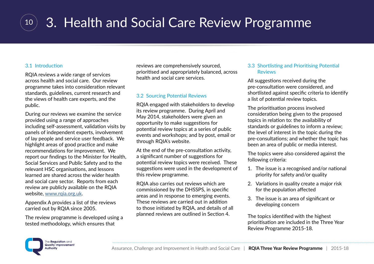

# <sup>10</sup> 3. Health and Social Care Review Programme

#### 3.1 Introduction

RQIA reviews a wide range of services across health and social care. Our review programme takes into consideration relevant standards, guidelines, current research and the views of health care experts, and the public.

During our reviews we examine the service provided using a range of approaches including self-assessment, validation visits by panels of independent experts, involvement of lay people and service user feedback. We highlight areas of good practice and make recommendations for improvement. We report our findings to the Minister for Health, Social Services and Public Safety and to the relevant HSC organisations, and lessons learned are shared across the wider health and social care sector. Reports from each review are publicly available on the RQIA website, [www.rqia.org.uk](http://www.rqia.org.uk).

Appendix A provides a list of the reviews carried out by RQIA since 2005.

The review programme is developed using a tested methodology, which ensures that

reviews are comprehensively sourced, prioritised and appropriately balanced, across health and social care services.

#### 3.2 Sourcing Potential Reviews

RQIA engaged with stakeholders to develop its review programme. During April and May 2014, stakeholders were given an opportunity to make suggestions for potential review topics at a series of public events and workshops; and by post, email or through RQIA's website.

At the end of the pre-consultation activity, a significant number of suggestions for potential review topics were received. These suggestions were used in the development of this review programme.

RQIA also carries out reviews which are commissioned by the DHSSPS, in specific areas and in response to emerging events. These reviews are carried out in addition to those initiated by RQIA, and details of all planned reviews are outlined in Section 4.

#### 3.3 Shortlisting and Prioritising Potential **Reviews**

All suggestions received during the pre-consultation were considered, and shortlisted against specific criteria to identify a list of potential review topics.

The prioritisation process involved consideration being given to the proposed topics in relation to: the availability of standards or guidelines to inform a review; the level of interest in the topic during the pre-consultations; and whether the topic has been an area of public or media interest.

The topics were also considered against the following criteria:

- 1. The issue is a recognised and/or national priority for safety and/or quality
- 2. Variations in quality create a major risk for the population affected
- 3. The issue is an area of significant or developing concern

The topics identified with the highest prioritisation are included in the Three Year Review Programme 2015-18.

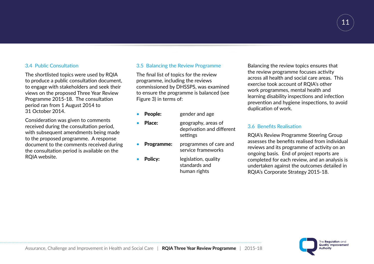

#### 3.4 Public Consultation

The shortlisted topics were used by RQIA to produce a public consultation document, to engage with stakeholders and seek their views on the proposed Three Year Review Programme 2015-18. The consultation period ran from 1 August 2014 to 31 October 2014.

Consideration was given to comments received during the consultation period, with subsequent amendments being made to the proposed programme. A response document to the comments received during the consultation period is available on the RQIA website.

#### 3.5 Balancing the Review Programme

The final list of topics for the review programme, including the reviews commissioned by DHSSPS, was examined to ensure the programme is balanced (see Figure 3) in terms of:

- **People:** gender and age
- **Place:** geography, areas of
	- deprivation and different settings
- Programme: programmes of care and service frameworks
- **Policy:** legislation, quality standards and human rights

Balancing the review topics ensures that the review programme focuses activity across all health and social care areas. This exercise took account of RQIA's other work programmes, mental health and learning disability inspections and infection prevention and hygiene inspections, to avoid duplication of work.

#### 3.6 Benefits Realisation

RQIA's Review Programme Steering Group assesses the benefits realised from individual reviews and its programme of activity on an ongoing basis. End of project reports are completed for each review, and an analysis is undertaken against the outcomes detailed in RQIA's Corporate Strategy 2015-18.

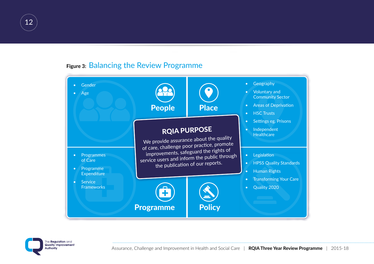

### **Figure 3:** Balancing the Review Programme



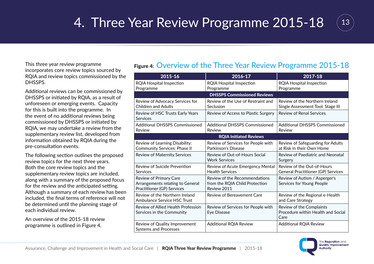## 14. Three Year Review Programme 2015-18 (13)



This three year review programme incorporates core review topics sourced by RQIA and review topics commissioned by the DHSSPS.

Additional reviews can be commissioned by DHSSPS or initiated by RQIA, as a result of unforeseen or emerging events. Capacity for this is built into the programme. In the event of no additional reviews being commissioned by DHSSPS or initiated by RQIA, we may undertake a review from the supplementary review list, developed from information obtained by RQIA during the pre-consultation events.

The following section outlines the proposed review topics for the next three years. Both the core review topics and the supplementary review topics are included, along with a summary of the proposed focus for the review and the anticipated setting. Although a summary of each review has been included, the final terms of reference will not be determined until the planning stage of each individual review.

An overview of the 2015-18 review programme is outlined in Figure 4.

### **Figure 4:** Overview of the Three Year Review Programme 2015-18

| 2015-16                                                                                  | 2016-17                                                                        | 2017-18                                                                 |
|------------------------------------------------------------------------------------------|--------------------------------------------------------------------------------|-------------------------------------------------------------------------|
| <b>RQIA Hospital Inspection</b><br>Programme                                             | <b>RQIA Hospital Inspection</b><br>Programme                                   | <b>RQIA Hospital Inspection</b><br>Programme                            |
|                                                                                          | <b>DHSSPS Commissioned Reviews</b>                                             |                                                                         |
| Review of Advocacy Services for<br><b>Children and Adults</b>                            | Review of the Use of Restraint and<br>Seclusion                                | Review of the Northern Ireland<br>Single Assessment Tool: Stage III     |
| Review of HSC Trusts Early Years<br>Services                                             | Review of Access to Plastic Surgery                                            | <b>Review of Renal Services</b>                                         |
| <b>Additional DHSSPS Commissioned</b><br>Review                                          | <b>Additional DHSSPS Commissioned</b><br>Review                                | Additional DHSSPS Commissioned<br>Review                                |
|                                                                                          | <b>RQIA Initiated Reviews</b>                                                  |                                                                         |
| Review of Learning Disability:<br><b>Community Services: Phase II</b>                    | Review of Services for People with<br>Parkinson's Disease                      | Review of Safeguarding for Adults<br>at Risk in their Own Home          |
| Review of Maternity Services                                                             | Review of Out-of-Hours Social<br><b>Work Services</b>                          | Review of Paediatric and Neonatal<br>Surgery                            |
| Review of Suicide Prevention<br>Services                                                 | Review of Acute Emergency Mental<br><b>Health Services</b>                     | Review of the Out-of-Hours<br><b>General Practitioner (GP) Services</b> |
| Review of Primary Care<br>Arrangements relating to General<br>Practitioner (GP) Services | Review of the Recommendations<br>from the RQIA Child Protection<br>Review 2011 | Review of Autism / Asperger's<br>Services for Young People              |
| Review of the Northern Ireland<br><b>Ambulance Service HSC Trust</b>                     | Review of Bereavement Care                                                     | Review of the Regional e-Health<br>and Care Strategy                    |
| Review of Allied Health Profession<br>Services in the Community                          | Review of Services for People with<br>Eye Disease                              | Review of the Complaints<br>Procedure within Health and Social<br>Care  |
| Review of Quality Improvement<br><b>Systems and Processes</b>                            | <b>Additional RQIA Review</b>                                                  | <b>Additional RQIA Review</b>                                           |

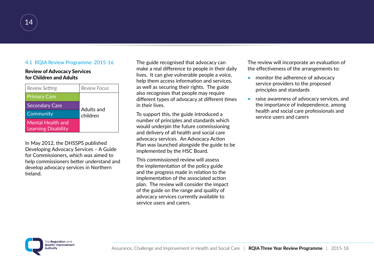#### 4.1 RQIA Review Programme: 2015-16

#### Review of Advocacy Services for Children and Adults

| Review Setting                                  | <b>Review Focus</b> |
|-------------------------------------------------|---------------------|
| <b>Primary Care</b>                             |                     |
| <b>Secondary Care</b>                           | Adults and          |
| Community                                       | children            |
| Mental Health and<br><b>Learning Disability</b> |                     |

In May 2012, the DHSSPS published Developing Advocacy Services – A Guide for Commissioners, which was aimed to help commissioners better understand and develop advocacy services in Northern Ireland.

The guide recognised that advocacy can make a real difference to people in their daily lives. It can give vulnerable people a voice, help them access information and services, as well as securing their rights. The guide also recognises that people may require different types of advocacy at different times in their lives.

To support this, the guide introduced a number of principles and standards which would underpin the future commissioning and delivery of all health and social care advocacy services. An Advocacy Action Plan was launched alongside the guide to be implemented by the HSC Board.

This commissioned review will assess the implementation of the policy guide and the progress made in relation to the implementation of the associated action plan. The review will consider the impact of the guide on the range and quality of advocacy services currently available to service users and carers.

The review will incorporate an evaluation of the effectiveness of the arrangements to:

- monitor the adherence of advocacy service providers to the proposed principles and standards
- raise awareness of advocacy services, and the importance of independence, among health and social care professionals and service users and carers

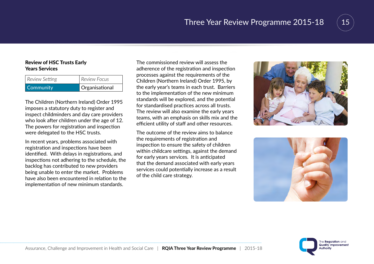

# 15

#### Review of HSC Trusts Early Years Services

| Community      | Organisational      |
|----------------|---------------------|
| Review Setting | <b>Review Focus</b> |

The Children (Northern Ireland) Order 1995 imposes a statutory duty to register and inspect childminders and day care providers who look after children under the age of 12. The powers for registration and inspection were delegated to the HSC trusts.

In recent years, problems associated with registration and inspections have been identified. With delays in registrations, and inspections not adhering to the schedule, the backlog has contributed to new providers being unable to enter the market. Problems have also been encountered in relation to the implementation of new minimum standards.

The commissioned review will assess the adherence of the registration and inspection processes against the requirements of the Children (Northern Ireland) Order 1995, by the early year's teams in each trust. Barriers to the implementation of the new minimum standards will be explored, and the potential for standardised practices across all trusts. The review will also examine the early years teams, with an emphasis on skills mix and the efficient utility of staff and other resources.

The outcome of the review aims to balance the requirements of registration and inspection to ensure the safety of children within childcare settings, against the demand for early years services. It is anticipated that the demand associated with early years services could potentially increase as a result of the child care strategy.





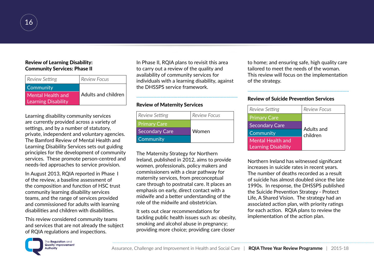

#### Review of Learning Disability: Community Services: Phase II

| Review Setting             | <b>Review Focus</b> |
|----------------------------|---------------------|
| Community                  |                     |
| Mental Health and          | Adults and children |
| <b>Learning Disability</b> |                     |

Learning disability community services are currently provided across a variety of settings, and by a number of statutory, private, independent and voluntary agencies. The Bamford Review of Mental Health and Learning Disability Services sets out guiding principles for the development of community services. These promote person-centred and needs-led approaches to service provision.

In August 2013, RQIA reported in Phase I of the review, a baseline assessment of the composition and function of HSC trust community learning disability services teams, and the range of services provided and commissioned for adults with learning disabilities and children with disabilities.

This review considered community teams and services that are not already the subject of RQIA regulations and inspections.

In Phase II, RQIA plans to revisit this area to carry out a review of the quality and availability of community services for individuals with a learning disability, against the DHSSPS service framework.

....................................................................................

#### Review of Maternity Services

| Review Setting        | <b>Review Focus</b> |
|-----------------------|---------------------|
| <b>Primary Care</b>   |                     |
| <b>Secondary Care</b> | Women               |
| Community             |                     |

The Maternity Strategy for Northern Ireland, published in 2012, aims to provide women, professionals, policy makers and commissioners with a clear pathway for maternity services, from preconceptual care through to postnatal care. It places an emphasis on early, direct contact with a midwife and a better understanding of the role of the midwife and obstetrician.

It sets out clear recommendations for tackling public health issues such as: obesity, smoking and alcohol abuse in pregnancy; providing more choice; providing care closer

to home; and ensuring safe, high quality care tailored to meet the needs of the woman. This review will focus on the implementation of the strategy.

....................................................................................

#### Review of Suicide Prevention Services

| Review Setting                                  | Review Focus           |
|-------------------------------------------------|------------------------|
| <b>Primary Care</b>                             |                        |
| <b>Secondary Care</b>                           |                        |
| Community                                       | Adults and<br>children |
| Mental Health and<br><b>Learning Disability</b> |                        |

Northern Ireland has witnessed significant increases in suicide rates in recent years. The number of deaths recorded as a result of suicide has almost doubled since the late 1990s. In response, the DHSSPS published the Suicide Prevention Strategy - Protect Life, A Shared Vision. The strategy had an associated action plan, with priority ratings for each action. RQIA plans to review the implementation of the action plan.

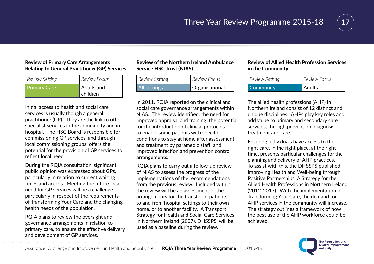

#### Review of Primary Care Arrangements Relating to General Practitioner (GP) Services

| Review Setting      | <b>Review Focus</b>    |
|---------------------|------------------------|
| <b>Primary Care</b> | Adults and<br>children |

Initial access to health and social care services is usually though a general practitioner (GP). They are the link to other specialist services in the community and in hospital. The HSC Board is responsible for commissioning GP services, and through local commissioning groups, offers the potential for the provision of GP services to reflect local need.

During the RQIA consultation, significant public opinion was expressed about GPs, particularly in relation to current waiting times and access. Meeting the future local need for GP services will be a challenge, particularly in respect of the requirements of Transforming Your Care and the changing health needs of the population.

RQIA plans to review the oversight and governance arrangements in relation to primary care, to ensure the effective delivery and development of GP services.

#### Review of the Northern Ireland Ambulance Service HSC Trust (NIAS)

| <b>Review Focus</b><br>Review Setting<br>Organisational<br>All settings |
|-------------------------------------------------------------------------|
|                                                                         |

In 2011, RQIA reported on the clinical and social care governance arrangements within NIAS. The review identified: the need for improved appraisal and training; the potential for the introduction of clinical protocols to enable some patients with specific conditions to stay at home after assessment and treatment by paramedic staff; and improved infection and prevention control arrangements.

RQIA plans to carry out a follow-up review of NIAS to assess the progress of the implementations of the recommendations from the previous review. Included within the review will be an assessment of the arrangements for the transfer of patients to and from hospital settings to their own home, or to another facility. A Transport Strategy for Health and Social Care Services in Northern Ireland (2007), DHSSPS, will be used as a baseline during the review.

#### Review of Allied Health Profession Services in the Community

| Review Setting | <b>Review Focus</b> |
|----------------|---------------------|
| Community      | <b>Adults</b>       |

The allied health professions (AHP) in Northern Ireland consist of 12 distinct and unique disciplines. AHPs play key roles and add value to primary and secondary care services, through prevention, diagnosis, treatment and care.

Ensuring individuals have access to the right care, in the right place, at the right time, presents particular challenges for the planning and delivery of AHP practices. To assist with this, the DHSSPS published Improving Health and Well-being through Positive Partnerships: A Strategy for the Allied Health Professions in Northern Ireland (2012-2017). With the implementation of Transforming Your Care, the demand for AHP services in the community will increase. The strategy outlines a framework of how the best use of the AHP workforce could be achieved.

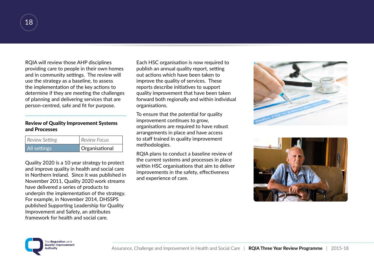

RQIA will review those AHP disciplines providing care to people in their own homes and in community settings. The review will use the strategy as a baseline, to assess the implementation of the key actions to determine if they are meeting the challenges of planning and delivering services that are person-centred, safe and fit for purpose.

....................................................................................

#### Review of Quality Improvement Systems and Processes

| All settings   | Organisational |
|----------------|----------------|
| Review Setting | Review Focus   |

Quality 2020 is a 10 year strategy to protect and improve quality in health and social care in Northern Ireland. Since it was published in November 2011, Quality 2020 work streams have delivered a series of products to underpin the implementation of the strategy. For example, in November 2014, DHSSPS published Supporting Leadership for Quality Improvement and Safety, an attributes framework for health and social care.

Each HSC organisation is now required to publish an annual quality report, setting out actions which have been taken to improve the quality of services. These reports describe initiatives to support quality improvement that have been taken forward both regionally and within individual organisations.

To ensure that the potential for quality improvement continues to grow, organisations are required to have robust arrangements in place and have access to staff trained in quality improvement methodologies.

RQIA plans to conduct a baseline review of the current systems and processes in place within HSC organisations that aim to deliver improvements in the safety, effectiveness and experience of care.





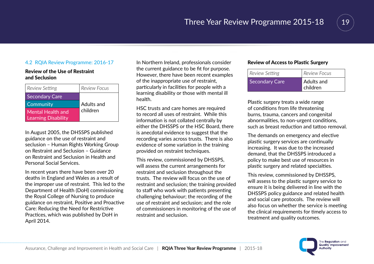

#### 4.2 RQIA Review Programme: 2016-17

#### Review of the Use of Restraint and Seclusion

| <b>Review Setting</b>                           | <b>Review Focus</b> |
|-------------------------------------------------|---------------------|
| <b>Secondary Care</b>                           |                     |
| Community                                       | Adults and          |
| Mental Health and<br><b>Learning Disability</b> | children            |

In August 2005, the DHSSPS published guidance on the use of restraint and seclusion – Human Rights Working Group on Restraint and Seclusion – Guidance on Restraint and Seclusion in Health and Personal Social Services.

In recent years there have been over 20 deaths in England and Wales as a result of the improper use of restraint. This led to the Department of Health (DoH) commissioning the Royal College of Nursing to produce guidance on restraint, Positive and Proactive Care: Reducing the Need for Restrictive Practices, which was published by DoH in April 2014.

In Northern Ireland, professionals consider the current guidance to be fit for purpose. However, there have been recent examples of the inappropriate use of restraint, particularly in facilities for people with a learning disability or those with mental ill health.

HSC trusts and care homes are required to record all uses of restraint. While this information is not collated centrally by either the DHSSPS or the HSC Board, there is anecdotal evidence to suggest that the recording varies across trusts. There is also evidence of some variation in the training provided on restraint techniques.

This review, commissioned by DHSSPS, will assess the current arrangements for restraint and seclusion throughout the trusts. The review will focus on the use of restraint and seclusion; the training provided to staff who work with patients presenting challenging behaviour; the recording of the use of restraint and seclusion; and the role of commissioners in monitoring of the use of restraint and seclusion.

#### Review of Access to Plastic Surgery

| Review Setting | <b>Review Focus</b>                       |
|----------------|-------------------------------------------|
| Secondary Care | <b>Adults and</b><br>$^{\prime}$ children |

Plastic surgery treats a wide range of conditions from life threatening burns, trauma, cancers and congenital abnormalities, to non-urgent conditions, such as breast reduction and tattoo removal.

The demands on emergency and elective plastic surgery services are continually increasing. It was due to the increased demand, that the DHSSPS introduced a policy to make best use of resources in plastic surgery and related specialties.

This review, commissioned by DHSSPS, will assess to the plastic surgery service to ensure it is being delivered in line with the DHSSPS policy guidance and related health and social care protocols. The review will also focus on whether the service is meeting the clinical requirements for timely access to treatment and quality outcomes.

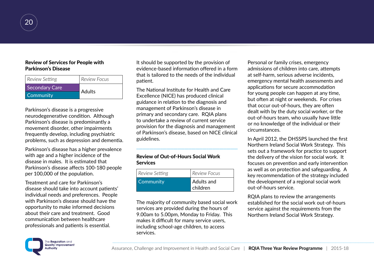

#### Review of Services for People with Parkinson's Disease

| <b>Review Setting</b> | Review Focus  |
|-----------------------|---------------|
| Secondary Care        | <b>Adults</b> |
| Community             |               |

Parkinson's disease is a progressive neurodegenerative condition. Although Parkinson's disease is predominantly a movement disorder, other impairments frequently develop, including psychiatric problems, such as depression and dementia.

Parkinson's disease has a higher prevalence with age and a higher incidence of the disease in males. It is estimated that Parkinson's disease affects 100-180 people per 100,000 of the population.

Treatment and care for Parkinson's disease should take into account patients' individual needs and preferences. People with Parkinson's disease should have the opportunity to make informed decisions about their care and treatment. Good communication between healthcare professionals and patients is essential.

It should be supported by the provision of evidence-based information offered in a form that is tailored to the needs of the individual patient.

The National Institute for Health and Care Excellence (NICE) has produced clinical guidance in relation to the diagnosis and management of Parkinson's disease in primary and secondary care. RQIA plans to undertake a review of current service provision for the diagnosis and management of Parkinson's disease, based on NICE clinical guidelines.

....................................................................................

#### Review of Out-of-Hours Social Work Services

| Review Setting | Review Focus           |
|----------------|------------------------|
| Community      | Adults and<br>children |

The majority of community based social work services are provided during the hours of 9.00am to 5.00pm, Monday to Friday. This makes it difficult for many service users, including school-age children, to access services.

Personal or family crises, emergency admissions of children into care, attempts at self-harm, serious adverse incidents, emergency mental health assessments and applications for secure accommodation for young people can happen at any time, but often at night or weekends. For crises that occur out-of-hours, they are often dealt with by the duty social worker, or the out-of-hours team, who usually have little or no knowledge of the individual or their circumstances.

In April 2012, the DHSSPS launched the first Northern Ireland Social Work Strategy. This sets out a framework for practice to support the delivery of the vision for social work. It focuses on prevention and early intervention as well as on protection and safeguarding. A key recommendation of the strategy included the development of a regional social work out-of-hours service.

RQIA plans to review the arrangements established for the social work out-of-hours service against the requirements from the Northern Ireland Social Work Strategy.

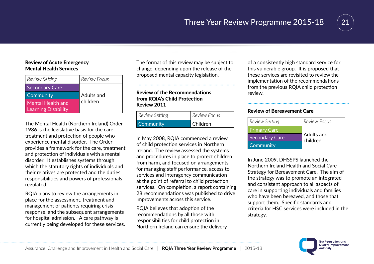

#### Review of Acute Emergency Mental Health Services

| Review Setting                                  | <b>Review Focus</b> |
|-------------------------------------------------|---------------------|
| <b>Secondary Care</b>                           |                     |
| <b>Community</b>                                | Adults and          |
| Mental Health and<br><b>Learning Disability</b> | children            |

The Mental Health (Northern Ireland) Order 1986 is the legislative basis for the care, treatment and protection of people who experience mental disorder. The Order provides a framework for the care, treatment and protection of individuals with a mental disorder. It establishes systems through which the statutory rights of individuals and their relatives are protected and the duties, responsibilities and powers of professionals regulated.

RQIA plans to review the arrangements in place for the assessment, treatment and management of patients requiring crisis response, and the subsequent arrangements for hospital admission. A care pathway is currently being developed for these services. The format of this review may be subject to change, depending upon the release of the proposed mental capacity legislation.

....................................................................................

#### Review of the Recommendations from RQIA's Child Protection Review 2011

| Review Setting   | Review Focus |
|------------------|--------------|
| <b>Community</b> | Children     |

In May 2008, RQIA commenced a review of child protection services in Northern Ireland. The review assessed the systems and procedures in place to protect children from harm, and focused on arrangements for managing staff performance, access to services and interagency communication at the point of referral to child protection services. On completion, a report containing 28 recommendations was published to drive improvements across this service.

RQIA believes that adoption of the recommendations by all those with responsibilities for child protection in Northern Ireland can ensure the delivery

of a consistently high standard service for this vulnerable group. It is proposed that these services are revisited to review the implementation of the recommendations from the previous RQIA child protection review.

#### Review of Bereavement Care

| Review Setting        | <b>Review Focus</b>    |
|-----------------------|------------------------|
| <b>Primary Care</b>   |                        |
| <b>Secondary Care</b> | Adults and<br>children |
| Community             |                        |

....................................................................................

In June 2009, DHSSPS launched the Northern Ireland Health and Social Care Strategy for Bereavement Care. The aim of the strategy was to promote an integrated and consistent approach to all aspects of care in supporting individuals and families who have been bereaved, and those that support them. Specific standards and criteria for HSC services were included in the strategy.

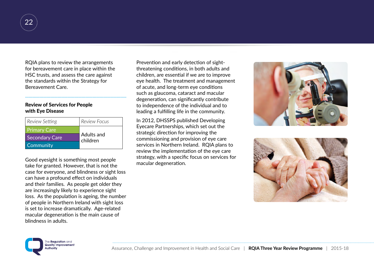

RQIA plans to review the arrangements for bereavement care in place within the HSC trusts, and assess the care against the standards within the Strategy for Bereavement Care.

....................................................................................

#### Review of Services for People with Eye Disease

| Review Setting        | <b>Review Focus</b>    |
|-----------------------|------------------------|
| <b>Primary Care</b>   |                        |
| <b>Secondary Care</b> | Adults and<br>children |
| <b>Community</b>      |                        |

Good eyesight is something most people take for granted. However, that is not the case for everyone, and blindness or sight loss can have a profound effect on individuals and their families. As people get older they are increasingly likely to experience sight loss. As the population is ageing, the number of people in Northern Ireland with sight loss is set to increase dramatically. Age-related macular degeneration is the main cause of blindness in adults.

Prevention and early detection of sightthreatening conditions, in both adults and children, are essential if we are to improve eye health. The treatment and management of acute, and long-term eye conditions such as glaucoma, cataract and macular degeneration, can significantly contribute to independence of the individual and to leading a fulfilling life in the community.

In 2012, DHSSPS published Developing Eyecare Partnerships, which set out the strategic direction for improving the commissioning and provision of eye care services in Northern Ireland. RQIA plans to review the implementation of the eye care strategy, with a specific focus on services for macular degeneration.





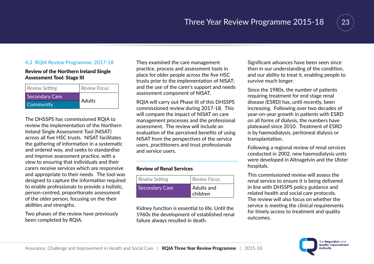

#### 4.3 RQIA Review Programme: 2017-18

#### Review of the Northern Ireland Single Assessment Tool: Stage III

| Review Setting | <b>Review Focus</b> |
|----------------|---------------------|
| Secondary Care | <b>Adults</b>       |
| Community      |                     |

The DHSSPS has commissioned RQIA to review the implementation of the Northern Ireland Single Assessment Tool (NISAT) across all five HSC trusts. NISAT facilitates the gathering of information in a systematic and ordered way, and seeks to standardise and improve assessment practice, with a view to ensuring that individuals and their carers receive services which are responsive and appropriate to their needs. The tool was designed to capture the information required to enable professionals to provide a holistic, person-centred, proportionate assessment of the older person, focusing on the their abilities and strengths.

Two phases of the review have previously been completed by RQIA.

They examined the care management practice, process and assessment tools in place for older people across the five HSC trusts prior to the implementation of NISAT; and the use of the carer's support and needs assessment component of NISAT.

RQIA will carry out Phase III of this DHSSPS commissioned review during 2017-18. This will compare the impact of NISAT on care management processes and the professional assessment. The review will include an evaluation of the perceived benefits of using NISAT from the perspectives of the service users, practitioners and trust professionals and service users.

....................................................................................

#### Review of Renal Services

| Review Setting | Review Focus           |
|----------------|------------------------|
| Secondary Care | Adults and<br>children |

Kidney function is essential to life. Until the 1960s the development of established renal failure always resulted in death.

Significant advances have been seen since then in our understanding of the condition, and our ability to treat it, enabling people to survive much longer.

Since the 1980s, the number of patients requiring treatment for end stage renal disease (ESRD) has, until recently, been increasing. Following over two decades of year-on-year growth in patients with ESRD on all forms of dialysis, the numbers have plateaued since 2010. Treatment of ESRD is by haemodialysis, peritoneal dialysis or transplantation.

Following a regional review of renal services conducted in 2002, new haemodialysis units were developed in Altnagelvin and the Ulster hospitals.

This commissioned review will assess the renal service to ensure it is being delivered in line with DHSSPS policy guidance and related health and social care protocols. The review will also focus on whether the service is meeting the clinical requirements for timely access to treatment and quality outcomes.

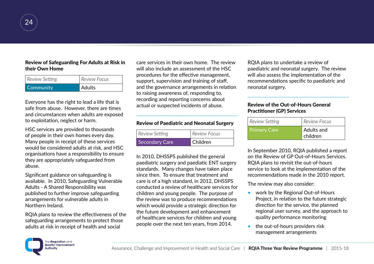

#### Review of Safeguarding For Adults at Risk in their Own Home

| <b>Community</b> | Adults       |
|------------------|--------------|
| Review Setting   | Review Focus |

Everyone has the right to lead a life that is safe from abuse. However, there are times and circumstances when adults are exposed to exploitation, neglect or harm.

HSC services are provided to thousands of people in their own homes every day. Many people in receipt of these services would be considered adults at risk, and HSC organisations have a responsibility to ensure they are appropriately safeguarded from abuse.

Significant guidance on safeguarding is available. In 2010, Safeguarding Vulnerable Adults - A Shared Responsibility was published to further improve safeguarding arrangements for vulnerable adults in Northern Ireland.

RQIA plans to review the effectiveness of the safeguarding arrangements to protect those adults at risk in receipt of health and social

care services in their own home. The review will also include an assessment of the HSC procedures for the effective management, support, supervision and training of staff, and the governance arrangements in relation to raising awareness of, responding to, recording and reporting concerns about actual or suspected incidents of abuse.

#### Review of Paediatric and Neonatal Surgery

....................................................................................

| Review Setting        | Review Focus |
|-----------------------|--------------|
| <b>Secondary Care</b> | Children     |

In 2010, DHSSPS published the general paediatric surgery and paediatic ENT surgery standards. Many changes have taken place since then. To ensure that treatment and care is of a high standard, in 2012, DHSSPS conducted a review of healthcare services for children and young people. The purpose of the review was to produce recommendations which would provide a strategic direction for the future development and enhancement of healthcare services for children and young people over the next ten years, from 2014.

RQIA plans to undertake a review of paediatric and neonatal surgery. The review will also assess the implementation of the recommendations specific to paediatric and neonatal surgery.

....................................................................................

#### Review of the Out-of-Hours General Practitioner (GP) Services

| Review Setting      | <b>Review Focus</b>           |
|---------------------|-------------------------------|
| <b>Primary Care</b> | Adults and<br><b>Children</b> |

In September 2010, RQIA published a report on the Review of GP Out-of-Hours Services. RQIA plans to revisit the out-of-hours service to look at the implementation of the recommendations made in the 2010 report.

The review may also consider:

- work by the Regional Out-of-Hours Project, in relation to the future strategic direction for the service, the planned regional user survey, and the approach to quality performance monitoring
- the out-of-hours providers risk management arrangements

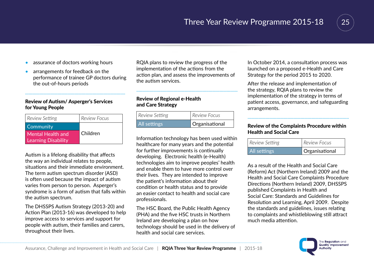

- assurance of doctors working hours
- arrangements for feedback on the performance of trainee GP doctors during the out-of-hours periods

...................................................................................

#### Review of Autism/ Asperger's Services for Young People

| Review Setting             | <b>Review Focus</b> |
|----------------------------|---------------------|
| Community                  |                     |
| Mental Health and          | Children            |
| <b>Learning Disability</b> |                     |

Autism is a lifelong disability that affects the way an individual relates to people, situations and their immediate environment. The term autism spectrum disorder (ASD) is often used because the impact of autism varies from person to person. Asperger's syndrome is a form of autism that falls within the autism spectrum.

The DHSSPS Autism Strategy (2013-20) and Action Plan (2013-16) was developed to help improve access to services and support for people with autism, their families and carers, throughout their lives.

RQIA plans to review the progress of the implementation of the actions from the action plan, and assess the improvements of the autism services.

....................................................................................

#### Review of Regional e-Health and Care Strategy

| Review Setting | <b>Review Focus</b> |
|----------------|---------------------|
| All settings   | Organisational      |

Information technology has been used within healthcare for many years and the potential for further improvements is continually developing. Electronic health (e-Health) technologies aim to improve peoples' health and enable them to have more control over their lives. They are intended to improve the patient's information about their condition or health status and to provide an easier contact to health and social care professionals.

The HSC Board, the Public Health Agency (PHA) and the five HSC trusts in Northern Ireland are developing a plan on how technology should be used in the delivery of health and social care services.

In October 2014, a consultation process was launched on a proposed e-Health and Care Strategy for the period 2015 to 2020.

After the release and implementation of the strategy, RQIA plans to review the implementation of the strategy in terms of patient access, governance, and safeguarding arrangements.

#### Review of the Complaints Procedure within Health and Social Care

....................................................................................

| <b>All settings</b> | Organisational |
|---------------------|----------------|
| Review Setting      | Review Focus   |

As a result of the Health and Social Care (Reform) Act (Northern Ireland) 2009 and the Health and Social Care Complaints Procedure Directions (Northern Ireland) 2009, DHSSPS published Complaints in Health and Social Care: Standards and Guidelines for Resolution and Learning, April 2009. Despite the standards and guidelines, issues relating to complaints and whistleblowing still attract much media attention.

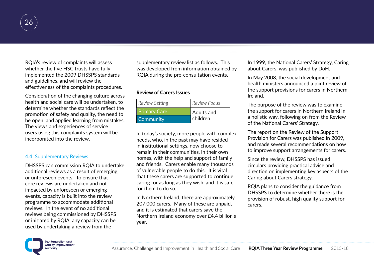

RQIA's review of complaints will assess whether the five HSC trusts have fully implemented the 2009 DHSSPS standards and guidelines, and will review the effectiveness of the complaints procedures.

Consideration of the changing culture across health and social care will be undertaken, to determine whether the standards reflect the promotion of safety and quality, the need to be open, and applied learning from mistakes. The views and experiences of service users using this complaints system will be incorporated into the review.

#### 4.4 Supplementary Reviews

DHSSPS can commission RQIA to undertake additional reviews as a result of emerging or unforeseen events. To ensure that core reviews are undertaken and not impacted by unforeseen or emerging events, capacity is built into the review programme to accommodate additional reviews. In the event of no additional reviews being commissioned by DHSSPS or initiated by RQIA, any capacity can be used by undertaking a review from the

supplementary review list as follows. This was developed from information obtained by RQIA during the pre-consultation events.

#### Review of Carers Issues

| Review Setting      | <b>Review Focus</b> |
|---------------------|---------------------|
| <b>Primary Care</b> | <b>Adults and</b>   |
| Community           | children            |

In today's society, more people with complex needs, who, in the past may have resided in institutional settings, now choose to remain in their communities, in their own homes, with the help and support of family and friends. Carers enable many thousands of vulnerable people to do this. It is vital that these carers are supported to continue caring for as long as they wish, and it is safe for them to do so.

In Northern Ireland, there are approximately 207,000 carers. Many of these are unpaid, and it is estimated that carers save the Northern Ireland economy over £4.4 billion a year.

In 1999, the National Carers' Strategy, Caring about Carers, was published by DoH.

In May 2008, the social development and health ministers announced a joint review of the support provisions for carers in Northern Ireland.

The purpose of the review was to examine the support for carers in Northern Ireland in a holistic way, following on from the Review of the National Carers' Strategy.

The report on the Review of the Support Provision for Carers was published in 2009, and made several recommendations on how to improve support arrangements for carers.

Since the review, DHSSPS has issued circulars providing practical advice and direction on implementing key aspects of the Caring about Carers strategy.

RQIA plans to consider the guidance from DHSSPS to determine whether there is the provision of robust, high quality support for carers.

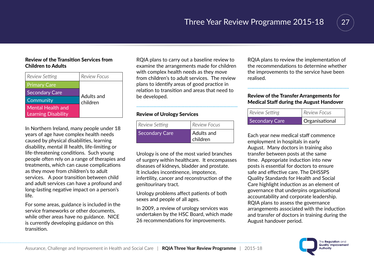

#### Review of the Transition Services from Children to Adults

| <b>Review Setting</b>      | <b>Review Focus</b> |
|----------------------------|---------------------|
| <b>Primary Care</b>        |                     |
| <b>Secondary Care</b>      | Adults and          |
| Community                  | children            |
| Mental Health and          |                     |
| <b>Learning Disability</b> |                     |

In Northern Ireland, many people under 18 years of age have complex health needs caused by physical disabilities, learning disability, mental ill health, life-limiting or life-threatening conditions. Such young people often rely on a range of therapies and treatments, which can cause complications as they move from children's to adult services. A poor transition between child and adult services can have a profound and long-lasting negative impact on a person's life.

For some areas, guidance is included in the service frameworks or other documents, while other areas have no guidance. NICE is currently developing guidance on this transition.

RQIA plans to carry out a baseline review to examine the arrangements made for children with complex health needs as they move from children's to adult services. The review plans to identify areas of good practice in relation to transition and areas that need to be developed.

....................................................................................

#### Review of Urology Services

| Review Setting | <b>Review Focus</b>           |
|----------------|-------------------------------|
| Secondary Care | <b>Adults and</b><br>children |

Urology is one of the most varied branches of surgery within healthcare. It encompasses diseases of kidneys, bladder and prostate. It includes incontinence, impotence, infertility, cancer and reconstruction of the genitourinary tract.

Urology problems affect patients of both sexes and people of all ages.

In 2009, a review of urology services was undertaken by the HSC Board, which made 26 recommendations for improvements.

RQIA plans to review the implementation of the recommendations to determine whether the improvements to the service have been realised.

....................................................................................

#### Review of the Transfer Arrangements for Medical Staff during the August Handover

| Review Setting        | <b>Review Focus</b> |
|-----------------------|---------------------|
| <b>Secondary Care</b> | Organisational      |

Each year new medical staff commence employment in hospitals in early August. Many doctors in training also transfer between posts at the same time. Appropriate induction into new posts is essential for doctors to ensure safe and effective care. The DHSSPS Quality Standards for Health and Social Care highlight induction as an element of governance that underpins organisational accountability and corporate leadership. RQIA plans to assess the governance arrangements associated with the induction and transfer of doctors in training during the August handover period.

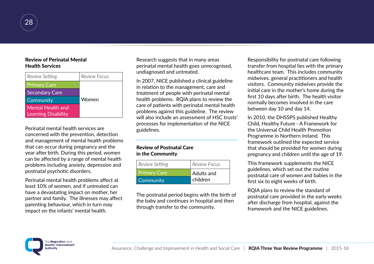#### Review of Perinatal Mental Health Services

| <b>Review Setting</b>                           | <b>Review Focus</b> |
|-------------------------------------------------|---------------------|
| <b>Primary Care</b>                             |                     |
| <b>Secondary Care</b>                           |                     |
| Community                                       | Women               |
| Mental Health and<br><b>Learning Disability</b> |                     |

Perinatal mental health services are concerned with the prevention, detection and management of mental health problems that can occur during pregnancy and the year after birth. During this period, women can be affected by a range of mental health problems including anxiety, depression and postnatal psychotic disorders.

Perinatal mental health problems affect at least 10% of women, and if untreated can have a devastating impact on mother, her partner and family. The illnesses may affect parenting behaviour, which in turn may impact on the infants' mental health.

Research suggests that in many areas perinatal mental health goes unrecognised, undiagnosed and untreated.

In 2007, NICE published a clinical guideline in relation to the management, care and treatment of people with perinatal mental health problems. RQIA plans to review the care of patients with perinatal mental health problems against this guideline. The review will also include an assessment of HSC trusts' processes for implementation of the NICE guidelines.

....................................................................................

#### Review of Postnatal Care in the Community

| Review Setting | <b>Review Focus</b> |
|----------------|---------------------|
| Primary Care   | Adults and          |
| Community      | children            |

The postnatal period begins with the birth of the baby and continues in hospital and then through transfer to the community.

Responsibility for postnatal care following transfer from hospital lies with the primary healthcare team. This includes community midwives, general practitioners and health visitors. Community midwives provide the initial care in the mother's home during the first 10 days after birth. The health visitor normally becomes involved in the care between day 10 and day 14.

In 2010, the DHSSPS published Healthy Child, Healthy Future - A Framework for the Universal Child Health Promotion Programme in Northern Ireland. This framework outlined the expected service that should be provided for women during pregnancy and children until the age of 19.

This framework supplements the NICE guidelines, which set out the routine postnatal care of women and babies in the first six to eight weeks of birth.

RQIA plans to review the standard of postnatal care provided in the early weeks after discharge from hospital, against the framework and the NICE guidelines.

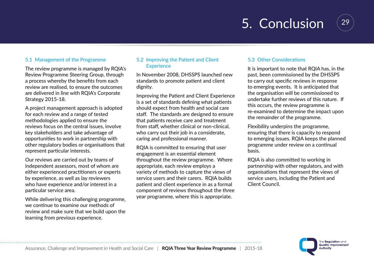## 5. Conclusion



#### 5.1 Management of the Programme

The review programme is managed by RQIA's Review Programme Steering Group, through a process whereby the benefits from each review are realised, to ensure the outcomes are delivered in line with RQIA's Corporate Strategy 2015-18.

A project management approach is adopted for each review and a range of tested methodologies applied to ensure the reviews focus on the central issues, involve key stakeholders and take advantage of opportunities to work in partnership with other regulatory bodies or organisations that represent particular interests.

Our reviews are carried out by teams of independent assessors, most of whom are either experienced practitioners or experts by experience, as well as lay reviewers who have experience and/or interest in a particular service area.

While delivering this challenging programme, we continue to examine our methods of review and make sure that we build upon the learning from previous experience.

#### 5.2 Improving the Patient and Client **Experience**

In November 2008, DHSSPS launched new standards to promote patient and client dignity.

Improving the Patient and Client Experience is a set of standards defining what patients should expect from health and social care staff. The standards are designed to ensure that patients receive care and treatment from staff, whether clinical or non-clinical, who carry out their job in a considerate, caring and professional manner.

RQIA is committed to ensuring that user engagement is an essential element throughout the review programme. Where appropriate, each review employs a variety of methods to capture the views of service users and their carers. RQIA builds patient and client experience in as a formal component of reviews throughout the three year programme, where this is appropriate.

#### 5.3 Other Considerations

It is important to note that RQIA has, in the past, been commissioned by the DHSSPS to carry out specific reviews in response to emerging events. It is anticipated that the organisation will be commissioned to undertake further reviews of this nature. If this occurs, the review programme is re-examined to determine the impact upon the remainder of the programme.

Flexibility underpins the programme, ensuring that there is capacity to respond to emerging issues. RQIA keeps the planned programme under review on a continual basis.

RQIA is also committed to working in partnership with other regulators, and with organisations that represent the views of service users, including the Patient and Client Council.

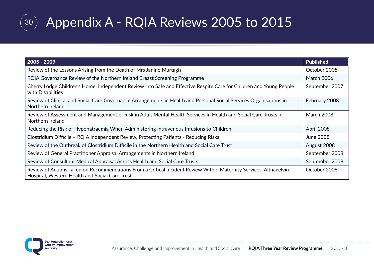

## Appendix A - RQIA Reviews 2005 to 2015

| $2005 - 2009$                                                                                                                                                       | <b>Published</b>  |
|---------------------------------------------------------------------------------------------------------------------------------------------------------------------|-------------------|
| Review of the Lessons Arising from the Death of Mrs Janine Murtagh                                                                                                  | October 2005      |
| RQIA Governance Review of the Northern Ireland Breast Screening Programme                                                                                           | <b>March 2006</b> |
| Cherry Lodge Children's Home: Independent Review into Safe and Effective Respite Care for Children and Young People<br>with Disabilities                            | September 2007    |
| Review of Clinical and Social Care Governance Arrangements in Health and Personal Social Services Organisations in<br>Northern Ireland                              | February 2008     |
| Review of Assessment and Management of Risk in Adult Mental Health Services in Health and Social Care Trusts in<br>Northern Ireland                                 | <b>March 2008</b> |
| Reducing the Risk of Hyponatraemia When Administering Intravenous Infusions to Children                                                                             | April 2008        |
| Clostridium Difficile - RQIA Independent Review, Protecting Patients - Reducing Risks                                                                               | <b>June 2008</b>  |
| Review of the Outbreak of Clostridium Difficile in the Northern Health and Social Care Trust                                                                        | August 2008       |
| Review of General Practitioner Appraisal Arrangements in Northern Ireland                                                                                           | September 2008    |
| Review of Consultant Medical Appraisal Across Health and Social Care Trusts                                                                                         | September 2008    |
| Review of Actions Taken on Recommendations From a Critical Incident Review Within Maternity Services, Altnagelvin<br>Hospital, Western Health and Social Care Trust | October 2008      |

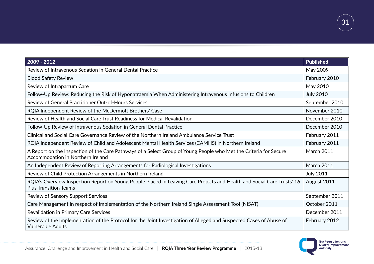| $2009 - 2012$                                                                                                                                           | <b>Published</b>  |
|---------------------------------------------------------------------------------------------------------------------------------------------------------|-------------------|
| Review of Intravenous Sedation in General Dental Practice                                                                                               | May 2009          |
| <b>Blood Safety Review</b>                                                                                                                              |                   |
| Review of Intrapartum Care                                                                                                                              | May 2010          |
| Follow-Up Review: Reducing the Risk of Hyponatraemia When Administering Intravenous Infusions to Children                                               | <b>July 2010</b>  |
| Review of General Practitioner Out-of-Hours Services                                                                                                    | September 2010    |
| RQIA Independent Review of the McDermott Brothers' Case                                                                                                 | November 2010     |
| Review of Health and Social Care Trust Readiness for Medical Revalidation                                                                               | December 2010     |
| Follow-Up Review of Intravenous Sedation in General Dental Practice                                                                                     | December 2010     |
| Clinical and Social Care Governance Review of the Northern Ireland Ambulance Service Trust                                                              | February 2011     |
| RQIA Independent Review of Child and Adolescent Mental Health Services (CAMHS) in Northern Ireland                                                      | February 2011     |
| A Report on the Inspection of the Care Pathways of a Select Group of Young People who Met the Criteria for Secure<br>Accommodation in Northern Ireland  | <b>March 2011</b> |
| An Independent Review of Reporting Arrangements for Radiological Investigations                                                                         | <b>March 2011</b> |
| Review of Child Protection Arrangements in Northern Ireland                                                                                             | <b>July 2011</b>  |
| RQIA's Overview Inspection Report on Young People Placed in Leaving Care Projects and Health and Social Care Trusts' 16<br><b>Plus Transition Teams</b> | August 2011       |
| <b>Review of Sensory Support Services</b>                                                                                                               | September 2011    |
| Care Management in respect of Implementation of the Northern Ireland Single Assessment Tool (NISAT)                                                     | October 2011      |
| Revalidation in Primary Care Services                                                                                                                   | December 2011     |
| Review of the Implementation of the Protocol for the Joint Investigation of Alleged and Suspected Cases of Abuse of<br><b>Vulnerable Adults</b>         | February 2012     |



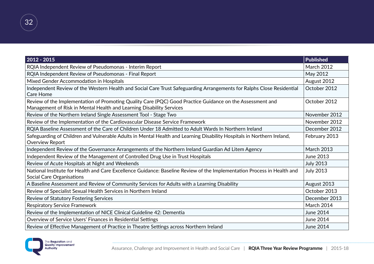| $2012 - 2015$                                                                                                                                                                     | <b>Published</b>  |
|-----------------------------------------------------------------------------------------------------------------------------------------------------------------------------------|-------------------|
| RQIA Independent Review of Pseudomonas - Interim Report                                                                                                                           | <b>March 2012</b> |
| RQIA Independent Review of Pseudomonas - Final Report                                                                                                                             |                   |
| Mixed Gender Accommodation in Hospitals                                                                                                                                           |                   |
| Independent Review of the Western Health and Social Care Trust Safeguarding Arrangements for Ralphs Close Residential<br><b>Care Home</b>                                         | October 2012      |
| Review of the Implementation of Promoting Quality Care (PQC) Good Practice Guidance on the Assessment and<br>Management of Risk in Mental Health and Learning Disability Services | October 2012      |
| Review of the Northern Ireland Single Assessment Tool - Stage Two                                                                                                                 | November 2012     |
| Review of the Implementation of the Cardiovascular Disease Service Framework                                                                                                      | November 2012     |
| RQIA Baseline Assessment of the Care of Children Under 18 Admitted to Adult Wards In Northern Ireland                                                                             | December 2012     |
| Safeguarding of Children and Vulnerable Adults in Mental Health and Learning Disability Hospitals in Northern Ireland,<br>Overview Report                                         | February 2013     |
| Independent Review of the Governance Arrangements of the Northern Ireland Guardian Ad Litem Agency                                                                                | <b>March 2013</b> |
| Independent Review of the Management of Controlled Drug Use in Trust Hospitals                                                                                                    | June 2013         |
| Review of Acute Hospitals at Night and Weekends                                                                                                                                   | <b>July 2013</b>  |
| National Institute for Health and Care Excellence Guidance: Baseline Review of the Implementation Process in Health and<br><b>Social Care Organisations</b>                       | <b>July 2013</b>  |
| A Baseline Assessment and Review of Community Services for Adults with a Learning Disability                                                                                      | August 2013       |
| Review of Specialist Sexual Health Services in Northern Ireland                                                                                                                   | October 2013      |
| <b>Review of Statutory Fostering Services</b>                                                                                                                                     | December 2013     |
| <b>Respiratory Service Framework</b>                                                                                                                                              | March 2014        |
| Review of the Implementation of NICE Clinical Guideline 42: Dementia                                                                                                              | June 2014         |
| Overview of Service Users' Finances in Residential Settings                                                                                                                       | June 2014         |
| Review of Effective Management of Practice in Theatre Settings across Northern Ireland                                                                                            | <b>June 2014</b>  |

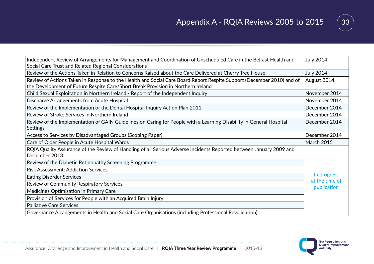

| Independent Review of Arrangements for Management and Coordination of Unscheduled Care in the Belfast Health and                       |                                              |  |
|----------------------------------------------------------------------------------------------------------------------------------------|----------------------------------------------|--|
| Social Care Trust and Related Regional Considerations                                                                                  |                                              |  |
| Review of the Actions Taken in Relation to Concerns Raised about the Care Delivered at Cherry Tree House                               | <b>July 2014</b>                             |  |
| Review of Actions Taken in Response to the Health and Social Care Board Report Respite Support (December 2010) and of                  | August 2014                                  |  |
| the Development of Future Respite Care/Short Break Provision in Northern Ireland                                                       |                                              |  |
| Child Sexual Exploitation in Northern Ireland - Report of the Independent Inquiry                                                      | November 2014                                |  |
| Discharge Arrangements from Acute Hospital                                                                                             | November 2014                                |  |
| Review of the Implementation of the Dental Hospital Inquiry Action Plan 2011                                                           | December 2014                                |  |
| Review of Stroke Services in Northern Ireland                                                                                          | December 2014                                |  |
| Review of the Implementation of GAIN Guidelines on Caring for People with a Learning Disability in General Hospital<br><b>Settings</b> | December 2014                                |  |
| Access to Services by Disadvantaged Groups (Scoping Paper)                                                                             | December 2014                                |  |
| Care of Older People in Acute Hospital Wards                                                                                           | <b>March 2015</b>                            |  |
| RQIA Quality Assurance of the Review of Handling of all Serious Adverse Incidents Reported between January 2009 and<br>December 2013.  |                                              |  |
| Review of the Diabetic Retinopathy Screening Programme                                                                                 |                                              |  |
| <b>Risk Assessment: Addiction Services</b>                                                                                             |                                              |  |
| <b>Eating Disorder Services</b>                                                                                                        | In progress<br>at the time of<br>publication |  |
| Review of Community Respiratory Services                                                                                               |                                              |  |
| Medicines Optimisation in Primary Care                                                                                                 |                                              |  |
| Provision of Services for People with an Acquired Brain Injury                                                                         |                                              |  |
| <b>Palliative Care Services</b>                                                                                                        |                                              |  |
| Governance Arrangements in Health and Social Care Organisations (including Professional Revalidation)                                  |                                              |  |